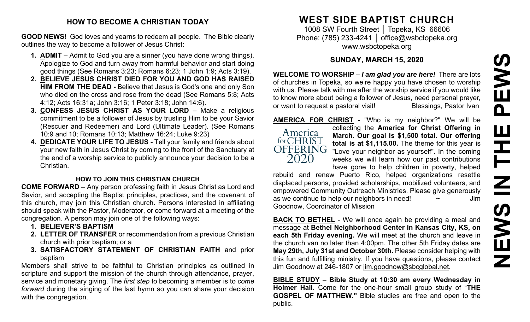#### **HOW TO BECOME A CHRISTIAN TODAY**

**GOOD NEWS!** God loves and yearns to redeem all people. The Bible clearly outlines the way to become a follower of Jesus Christ:

- **1. ADMIT** Admit to God you are a sinner (you have done wrong things). Apologize to God and turn away from harmful behavior and start doing good things (See Romans 3:23; Romans 6:23; 1 John 1:9; Acts 3:19).
- **2. BELIEVE JESUS CHRIST DIED FOR YOU AND GOD HAS RAISED HIM FROM THE DEAD -** Believe that Jesus is God's one and only Son who died on the cross and rose from the dead (See Romans 5:8; Acts 4:12; Acts 16:31a; John 3:16; 1 Peter 3:18; John 14:6).
- **3. CONFESS JESUS CHRIST AS YOUR LORD –** Make a religious commitment to be a follower of Jesus by trusting Him to be your Savior (Rescuer and Redeemer) and Lord (Ultimate Leader). (See Romans 10:9 and 10; Romans 10:13; Matthew 16:24; Luke 9:23)
- **4. DEDICATE YOUR LIFE TO JESUS -** Tell your family and friends about your new faith in Jesus Christ by coming to the front of the Sanctuary at the end of a worship service to publicly announce your decision to be a Christian.

#### **HOW TO JOIN THIS CHRISTIAN CHURCH**

**COME FORWARD** – Any person professing faith in Jesus Christ as Lord and Savior, and accepting the Baptist principles, practices, and the covenant of this church, may join this Christian church. Persons interested in affiliating should speak with the Pastor, Moderator, or come forward at a meeting of the congregation. A person may join one of the following ways:

- **1. BELIEVER'S BAPTISM**
- **2. LETTER OF TRANSFER** or recommendation from a previous Christian church with prior baptism; or a
- **3. SATISFACTORY STATEMENT OF CHRISTIAN FAITH** and prior baptism

Members shall strive to be faithful to Christian principles as outlined in scripture and support the mission of the church through attendance, prayer, service and monetary giving. The *first step* to becoming a member is to *come forward* during the singing of the last hymn so you can share your decision with the congregation.

# **WEST SIDE BAPTIST CHURCH**

1008 SW Fourth Street | Topeka, KS 66606 Phone: (785) 233-4241 │ [office@wsbctopeka.org](mailto:office@wsbctopeka.org) [www.wsbctopeka.org](http://www.wsbctopeka.org/)

## **SUNDAY, MARCH 15, 2020**

**WELCOME TO WORSHIP –** *I am glad you are here!* There are lots of churches in Topeka, so we're happy you have chosen to worship with us. Please talk with me after the worship service if you would like to know more about being a follower of Jesus, need personal prayer, or want to request a pastoral visit!<br>
Blessings, Pastor Ivan



**AMERICA FOR CHRIST -** "Who is my neighbor?" We will be collecting the **America for Christ Offering in March. Our goal is \$1,500 total. Our offering total is at \$1,115.00.** The theme for this year is OFFERING "Love your neighbor as yourself". In the coming weeks we will learn how our past contributions have gone to help children in poverty, helped

rebuild and renew Puerto Rico, helped organizations resettle displaced persons, provided scholarships, mobilized volunteers, and empowered Community Outreach Ministries. Please give generously as we continue to help our neighbors in need!  $\sim$   $\sim$  Jim Goodnow, Coordinator of Mission

**BACK TO BETHEL** - We will once again be providing a meal and message at **Bethel Neighborhood Center in Kansas City, KS, on each 5th Friday evening.** We will meet at the church and leave in the church van no later than 4:00pm. The other 5th Friday dates are **May 29th, July 31st and October 30th.** Please consider helping with this fun and fulfilling ministry. If you have questions, please contact Jim Goodnow at 246-1807 or [jim.goodnow@sbcglobal.net.](mailto:jim.goodnow@sbcglobal.net)

**BIBLE STUDY** – **Bible Study at 10:30 am every Wednesday in Holmer Hall.** Come for the one-hour small group study of "**THE GOSPEL OF MATTHEW."** Bible studies are free and open to the public.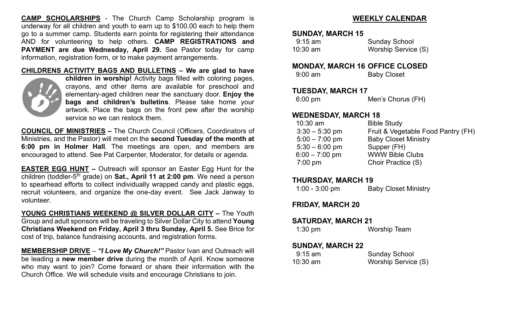**CAMP SCHOLARSHIPS** - The Church Camp Scholarship program is underway for all children and youth to earn up to \$100.00 each to help them go to a summer camp. Students earn points for registering their attendance AND for volunteering to help others. **CAMP REGISTRATIONS and PAYMENT are due Wednesday, April 29.** See Pastor today for camp information, registration form, or to make payment arrangements.

#### **CHILDRENS ACTIVITY BAGS AND BULLETINS – We are glad to have**



**children in worship!** Activity bags filled with coloring pages, crayons, and other items are available for preschool and elementary-aged children near the sanctuary door. **Enjoy the bags and children's bulletins**. Please take home your artwork. Place the bags on the front pew after the worship service so we can restock them.

**COUNCIL OF MINISTRIES –** The Church Council (Officers, Coordinators of Ministries, and the Pastor) will meet on the **second Tuesday of the month at 6:00 pm in Holmer Hall**. The meetings are open, and members are encouraged to attend. See Pat Carpenter, Moderator, for details or agenda.

**EASTER EGG HUNT –** Outreach will sponsor an Easter Egg Hunt for the children (toddler-5th grade) on **Sat., April 11 at 2:00 pm**. We need a person to spearhead efforts to collect individually wrapped candy and plastic eggs, recruit volunteers, and organize the one-day event. See Jack Janway to volunteer.

**YOUNG CHRISTIANS WEEKEND @ SILVER DOLLAR CITY –** The Youth Group and adult sponsors will be traveling to Silver Dollar City to attend **Young Christians Weekend on Friday, April 3 thru Sunday, April 5.** See Brice for cost of trip, balance fundraising accounts, and registration forms.

**MEMBERSHIP DRIVE** – *"I Love My Church!"* Pastor Ivan and Outreach will be leading a **new member drive** during the month of April. Know someone who may want to join? Come forward or share their information with the Church Office. We will schedule visits and encourage Christians to join.

## **WEEKLY CALENDAR**

#### **SUNDAY, MARCH 15**

| $9:15$ am  | <b>Sunday School</b> |
|------------|----------------------|
| $10:30$ am | Worship Service (S)  |

#### **MONDAY, MARCH 16 OFFICE CLOSED**

| $9:00$ am | <b>Baby Closet</b> |
|-----------|--------------------|
|           |                    |

#### **TUESDAY, MARCH 17**

6:00 pm Men's Chorus (FH)

## **WEDNESDAY, MARCH 18**

| $10:30$ am       | <b>Bible Study</b>                 |
|------------------|------------------------------------|
| $3:30 - 5:30$ pm | Fruit & Vegetable Food Pantry (FH) |
| $5:00 - 7:00$ pm | <b>Baby Closet Ministry</b>        |
| $5:30 - 6:00$ pm | Supper (FH)                        |
| $6:00 - 7:00$ pm | <b>WWW Bible Clubs</b>             |
| $7:00$ pm        | Choir Practice (S)                 |
|                  |                                    |

#### **THURSDAY, MARCH 19**

| $1:00 - 3:00$ pm | <b>Baby Closet Ministry</b> |
|------------------|-----------------------------|
|------------------|-----------------------------|

## **FRIDAY, MARCH 20**

#### **SATURDAY, MARCH 21**

## **SUNDAY, MARCH 22**

| $9:15 \text{ am}$ | <b>Sunday School</b> |
|-------------------|----------------------|
| $10:30$ am        | Worship Service (S)  |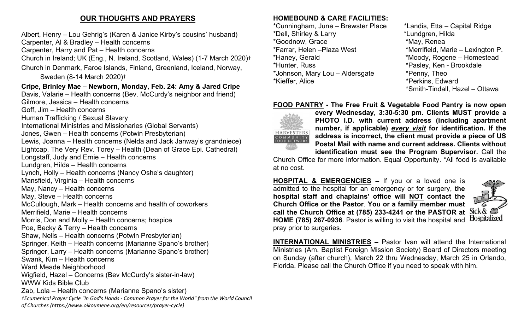# **OUR THOUGHTS AND PRAYERS**

Albert, Henry – Lou Gehrig's (Karen & Janice Kirby's cousins' husband)

Carpenter, Al & Bradley – Health concerns

Carpenter, Harry and Pat – Health concerns

Church in Ireland; UK (Eng., N. Ireland, Scotland, Wales) (1-7 March 2020)†

Church in Denmark, Faroe Islands, Finland, Greenland, Iceland, Norway,

Sweden (8-14 March 2020)†

## **Cripe, Brinley Mae – Newborn, Monday, Feb. 24: Amy & Jared Cripe**

Davis, Valarie – Health concerns (Bev. McCurdy's neighbor and friend) Gilmore, Jessica – Health concerns Goff, Jim – Health concerns Human Trafficking / Sexual Slavery International Ministries and Missionaries (Global Servants) Jones, Gwen – Health concerns (Potwin Presbyterian) Lewis, Joanna – Health concerns (Nelda and Jack Janway's grandniece) Lightcap, The Very Rev. Torey – Health (Dean of Grace Epi. Cathedral) Longstaff, Judy and Ernie – Health concerns Lundgren, Hilda – Health concerns Lynch, Holly – Health concerns (Nancy Oshe's daughter) Mansfield, Virginia – Health concerns May, Nancy – Health concerns May, Steve – Health concerns McCullough, Mark – Health concerns and health of coworkers Merrifield, Marie – Health concerns Morris, Don and Molly – Health concerns; hospice Poe, Becky & Terry – Health concerns Shaw, Nelis – Health concerns (Potwin Presbyterian) Springer, Keith – Health concerns (Marianne Spano's brother) Springer, Larry – Health concerns (Marianne Spano's brother) Swank, Kim – Health concerns Ward Meade Neighborhood

Wigfield, Hazel – Concerns (Bev McCurdy's sister-in-law) WWW Kids Bible Club

Zab, Lola – Health concerns (Marianne Spano's sister)

*†Ecumenical Prayer Cycle "In God's Hands - Common Prayer for the World" from the World Council of Churches (https://www.oikoumene.org/en/resources/prayer-cycle)*

# **HOMEBOUND & CARE FACILITIES:**

\*Cunningham, June – Brewster Place \*Landis, Etta – Capital Ridge \*Dell, Shirley & Larry \*Lundgren, Hilda \*Goodnow, Grace \*Farrar, Helen –Plaza West \*Merrifield, Marie – Lexington P. \*Haney, Gerald \*Moody, Rogene – Homestead \*Hunter, Russ \*Pasley, Ken - Brookdale \*Johnson, Mary Lou – Aldersgate \*Penny, Theo \*Kieffer, Alice \*Perkins, Edward

\*Smith-Tindall, Hazel – Ottawa

## **FOOD PANTRY - The Free Fruit & Vegetable Food Pantry is now open**



**every Wednesday, 3:30-5:30 pm. Clients MUST provide a PHOTO I.D. with current address (including apartment number, if applicable)** *every visit* **for identification. If the address is incorrect, the client must provide a piece of US Postal Mail with name and current address. Clients without identification must see the Program Supervisor.** Call the

Church Office for more information. Equal Opportunity. \*All food is available at no cost.

**HOSPITAL & EMERGENCIES –** If you or a loved one is admitted to the hospital for an emergency or for surgery, **the hospital staff and chaplains' office will NOT contact the Church Office or the Pastor**. **You or a family member must call the Church Office at (785) 233-4241 or the PASTOR at HOME (785) 267-0936**. Pastor is willing to visit the hospital and pray prior to surgeries.



**INTERNATIONAL MINISTRIES –** Pastor Ivan will attend the International Ministries (Am. Baptist Foreign Mission Society) Board of Directors meeting on Sunday (after church), March 22 thru Wednesday, March 25 in Orlando, Florida. Please call the Church Office if you need to speak with him.